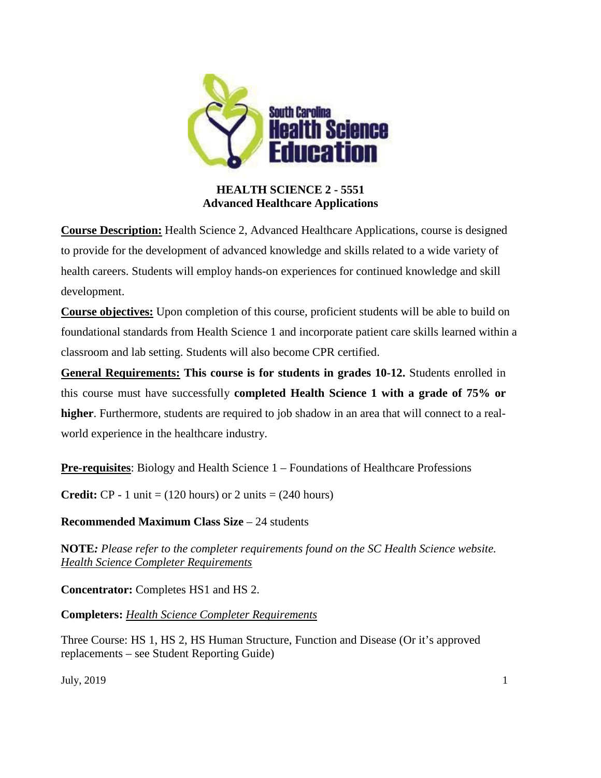

## **HEALTH SCIENCE 2 - 5551 Advanced Healthcare Applications**

**Course Description:** Health Science 2, Advanced Healthcare Applications, course is designed to provide for the development of advanced knowledge and skills related to a wide variety of health careers. Students will employ hands-on experiences for continued knowledge and skill development.

**Course objectives:** Upon completion of this course, proficient students will be able to build on foundational standards from Health Science 1 and incorporate patient care skills learned within a classroom and lab setting. Students will also become CPR certified.

**General Requirements: This course is for students in grades 10-12.** Students enrolled in this course must have successfully **completed Health Science 1 with a grade of 75% or higher**. Furthermore, students are required to job shadow in an area that will connect to a realworld experience in the healthcare industry.

**Pre-requisites:** Biology and Health Science 1 – Foundations of Healthcare Professions

**Credit:**  $CP - 1$  unit = (120 hours) or 2 units = (240 hours)

**Recommended Maximum Class Size – 24 students** 

**NOTE***: Please refer to the completer requirements found on the SC Health Science website. Health [Science Completer Requirements](https://ed.sc.gov/instruction/career-and-technology-education/programs-and-courses/career-clusters/health-science-education/three-unit-requirement/)*

**Concentrator:** Completes HS1 and HS 2.

**Completers:** *Health [Science Completer Requirements](https://ed.sc.gov/instruction/career-and-technology-education/programs-and-courses/career-clusters/health-science-education/three-unit-requirement/)*

Three Course: HS 1, HS 2, HS Human Structure, Function and Disease (Or it's approved replacements – see Student Reporting Guide)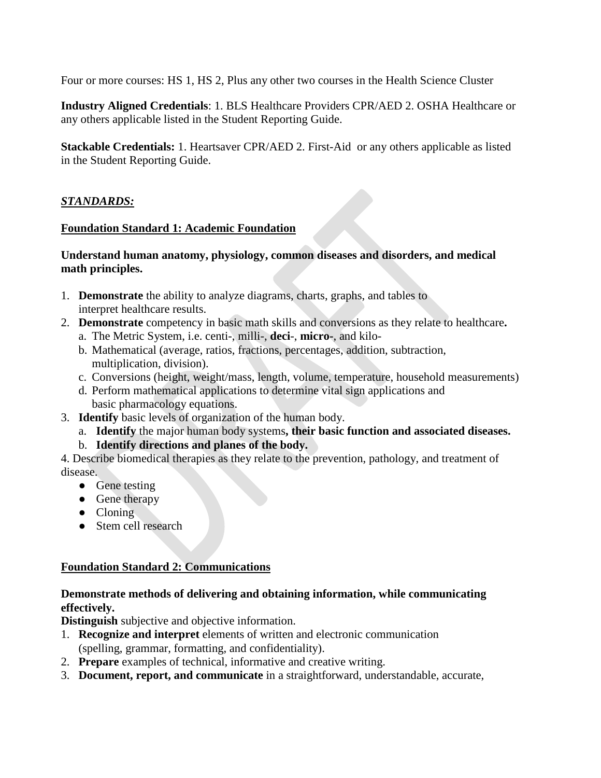Four or more courses: HS 1, HS 2, Plus any other two courses in the Health Science Cluster

**Industry Aligned Credentials**: 1. BLS Healthcare Providers CPR/AED 2. OSHA Healthcare or any others applicable listed in the Student Reporting Guide.

**Stackable Credentials:** 1. Heartsaver CPR/AED 2. First-Aid or any others applicable as listed in the Student Reporting Guide.

## *STANDARDS:*

#### **Foundation Standard 1: Academic Foundation**

#### **Understand human anatomy, physiology, common diseases and disorders, and medical math principles.**

- 1. **Demonstrate** the ability to analyze diagrams, charts, graphs, and tables to interpret healthcare results.
- 2. **Demonstrate** competency in basic math skills and conversions as they relate to healthcare**.**
	- a. The Metric System, i.e. centi-, milli-, **deci**-, **micro-**, and kilo-
	- b. Mathematical (average, ratios, fractions, percentages, addition, subtraction, multiplication, division).
	- c. Conversions (height, weight/mass, length, volume, temperature, household measurements)
	- d. Perform mathematical applications to determine vital sign applications and basic pharmacology equations.
- 3. **Identify** basic levels of organization of the human body.
	- a. **Identify** the major human body systems**, their basic function and associated diseases.**
	- b. **Identify directions and planes of the body.**

4. Describe biomedical therapies as they relate to the prevention, pathology, and treatment of disease.

- Gene testing
- Gene therapy
- Cloning
- Stem cell research

### **Foundation Standard 2: Communications**

### **Demonstrate methods of delivering and obtaining information, while communicating effectively.**

**Distinguish** subjective and objective information.

- 1. **Recognize and interpret** elements of written and electronic communication (spelling, grammar, formatting, and confidentiality).
- 2. **Prepare** examples of technical, informative and creative writing.
- 3. **Document, report, and communicate** in a straightforward, understandable, accurate,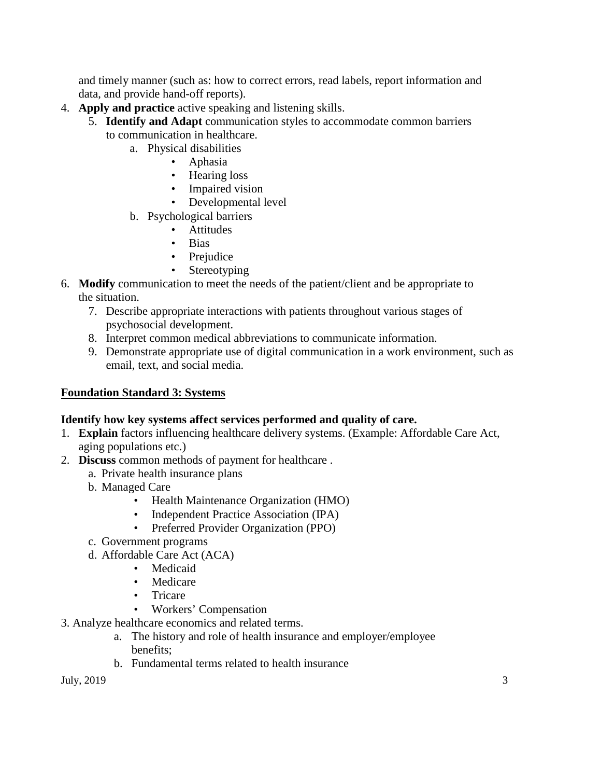and timely manner (such as: how to correct errors, read labels, report information and data, and provide hand-off reports).

- 4. **Apply and practice** active speaking and listening skills.
	- 5. **Identify and Adapt** communication styles to accommodate common barriers to communication in healthcare.
		- a. Physical disabilities
			- Aphasia
			- Hearing loss
			- Impaired vision
			- Developmental level
		- b. Psychological barriers
			- Attitudes
			- Bias
			- Prejudice
			- Stereotyping
- 6. **Modify** communication to meet the needs of the patient/client and be appropriate to the situation.
	- 7. Describe appropriate interactions with patients throughout various stages of psychosocial development*.*
	- 8. Interpret common medical abbreviations to communicate information.
	- 9. Demonstrate appropriate use of digital communication in a work environment, such as email, text, and social media.

### **Foundation Standard 3: Systems**

#### **Identify how key systems affect services performed and quality of care.**

- 1. **Explain** factors influencing healthcare delivery systems. (Example: Affordable Care Act, aging populations etc.)
- 2. **Discuss** common methods of payment for healthcare .
	- a. Private health insurance plans
	- b. Managed Care
		- Health Maintenance Organization (HMO)
		- Independent Practice Association (IPA)
		- Preferred Provider Organization (PPO)
	- c. Government programs
	- d. Affordable Care Act (ACA)
		- Medicaid
		- Medicare
		- Tricare
		- Workers' Compensation
- 3. Analyze healthcare economics and related terms.
	- a. The history and role of health insurance and employer/employee benefits;
	- b. Fundamental terms related to health insurance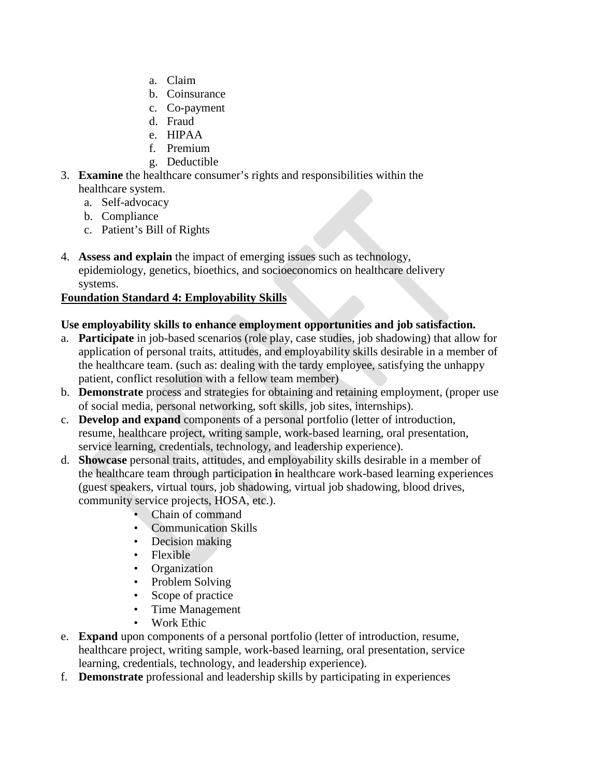- a. Claim
- b. Coinsurance
- c. Co-payment
- d. Fraud
- e. HIPAA
- f. Premium
- g. Deductible
- 3. **Examine** the healthcare consumer's rights and responsibilities within the healthcare system.
	- a. Self-advocacy
	- b. Compliance
	- c. Patient's Bill of Rights
- 4. **Assess and explain** the impact of emerging issues such as technology, epidemiology, genetics, bioethics, and socioeconomics on healthcare delivery systems.

## **Foundation Standard 4: Employability Skills**

### **Use employability skills to enhance employment opportunities and job satisfaction.**

- a. **Participate** in job-based scenarios (role play, case studies, job shadowing) that allow for application of personal traits, attitudes, and employability skills desirable in a member of the healthcare team. (such as: dealing with the tardy employee, satisfying the unhappy patient, conflict resolution with a fellow team member)
- b. **Demonstrate** process and strategies for obtaining and retaining employment, (proper use of social media, personal networking, soft skills, job sites, internships).
- c. **Develop and expand** components of a personal portfolio (letter of introduction, resume, healthcare project, writing sample, work-based learning, oral presentation, service learning, credentials, technology, and leadership experience).
- d. **Showcase** personal traits, attitudes, and employability skills desirable in a member of the healthcare team through participation **i**n healthcare work-based learning experiences (guest speakers, virtual tours, job shadowing, virtual job shadowing, blood drives, community service projects, HOSA, etc.).
	- Chain of command
	- Communication Skills
	- Decision making
	- Flexible
	- Organization
	- Problem Solving
	- Scope of practice
	- Time Management
	- Work Ethic
- e. **Expand** upon components of a personal portfolio (letter of introduction, resume, healthcare project, writing sample, work-based learning, oral presentation, service learning, credentials, technology, and leadership experience).
- f. **Demonstrate** professional and leadership skills by participating in experiences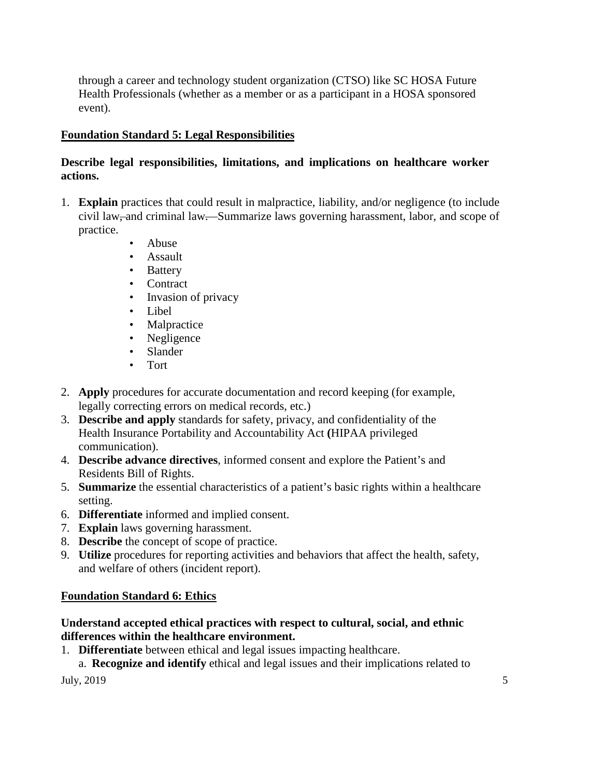through a career and technology student organization (CTSO) like SC HOSA Future Health Professionals (whether as a member or as a participant in a HOSA sponsored event).

### **Foundation Standard 5: Legal Responsibilities**

### **Describe legal responsibilities, limitations, and implications on healthcare worker actions.**

- 1. **Explain** practices that could result in malpractice, liability, and/or negligence (to include civil law, and criminal law. Summarize laws governing harassment, labor, and scope of practice.
	- Abuse
	- Assault
	- **Battery**
	- Contract
	- Invasion of privacy
	- Libel
	- Malpractice
	- Negligence
	- Slander
	- Tort
- 2. **Apply** procedures for accurate documentation and record keeping (for example, legally correcting errors on medical records, etc.)
- 3. **Describe and apply** standards for safety, privacy, and confidentiality of the Health Insurance Portability and Accountability Act **(**HIPAA privileged communication).
- 4. **Describe advance directives**, informed consent and explore the Patient's and Residents Bill of Rights.
- 5. **Summarize** the essential characteristics of a patient's basic rights within a healthcare setting.
- 6. **Differentiate** informed and implied consent.
- 7. **Explain** laws governing harassment.
- 8. **Describe** the concept of scope of practice.
- 9. **Utilize** procedures for reporting activities and behaviors that affect the health, safety, and welfare of others (incident report).

#### **Foundation Standard 6: Ethics**

#### **Understand accepted ethical practices with respect to cultural, social, and ethnic differences within the healthcare environment.**

1. **Differentiate** between ethical and legal issues impacting healthcare.

July,  $2019$  5 a. **Recognize and identify** ethical and legal issues and their implications related to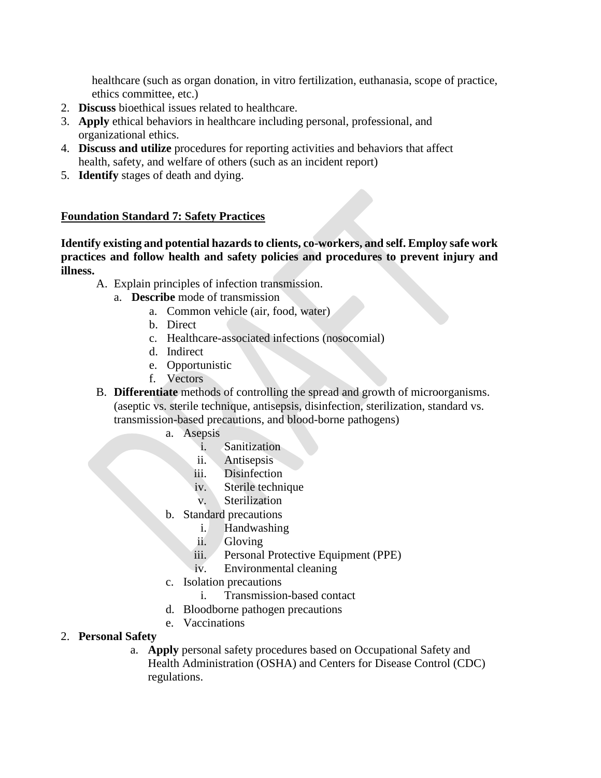healthcare (such as organ donation, in vitro fertilization, euthanasia, scope of practice, ethics committee, etc.)

- 2. **Discuss** bioethical issues related to healthcare.
- 3. **Apply** ethical behaviors in healthcare including personal, professional, and organizational ethics.
- 4. **Discuss and utilize** procedures for reporting activities and behaviors that affect health, safety, and welfare of others (such as an incident report)
- 5. **Identify** stages of death and dying.

#### **Foundation Standard 7: Safety Practices**

**Identify existing and potential hazards to clients, co-workers, and self. Employ safe work practices and follow health and safety policies and procedures to prevent injury and illness.**

- A. Explain principles of infection transmission.
	- a. **Describe** mode of transmission
		- a. Common vehicle (air, food, water)
		- b. Direct
		- c. Healthcare-associated infections (nosocomial)
		- d. Indirect
		- e. Opportunistic
		- f. Vectors

B. **Differentiate** methods of controlling the spread and growth of microorganisms. (aseptic vs. sterile technique, antisepsis, disinfection, sterilization, standard vs. transmission-based precautions, and blood-borne pathogens)

- a. Asepsis
	- i. Sanitization
	- ii. Antisepsis
	- iii. Disinfection
	- iv. Sterile technique
	- v. Sterilization
- b. Standard precautions
	- i. Handwashing
	- ii. Gloving
	- iii. Personal Protective Equipment (PPE)
	- iv. Environmental cleaning
- c. Isolation precautions
	- i. Transmission-based contact
- d. Bloodborne pathogen precautions
- e. Vaccinations

#### 2. **Personal Safety**

a. **Apply** personal safety procedures based on Occupational Safety and Health Administration (OSHA) and Centers for Disease Control (CDC) regulations.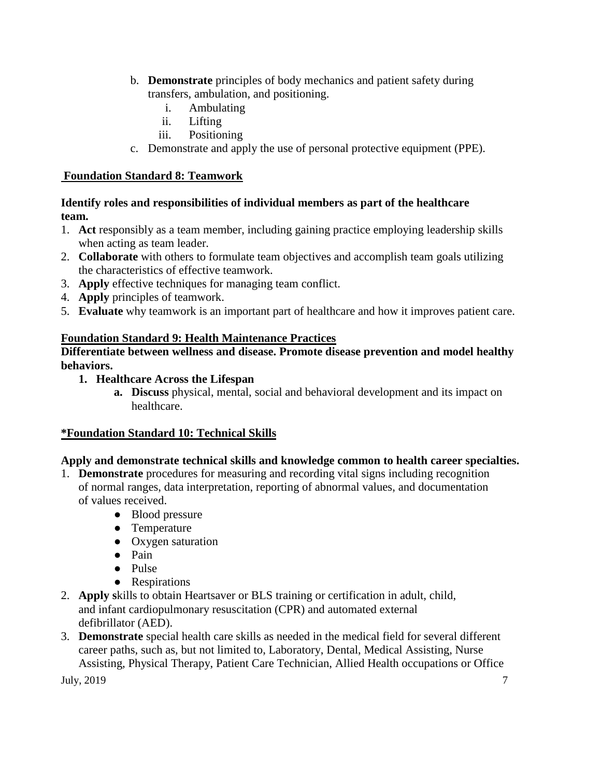- b. **Demonstrate** principles of body mechanics and patient safety during transfers, ambulation, and positioning.
	- i. Ambulating
	- ii. Lifting
	- iii. Positioning
- c. Demonstrate and apply the use of personal protective equipment (PPE).

## **Foundation Standard 8: Teamwork**

**Identify roles and responsibilities of individual members as part of the healthcare team.**

- 1. **Act** responsibly as a team member, including gaining practice employing leadership skills when acting as team leader.
- 2. **Collaborate** with others to formulate team objectives and accomplish team goals utilizing the characteristics of effective teamwork.
- 3. **Apply** effective techniques for managing team conflict.
- 4. **Apply** principles of teamwork.
- 5. **Evaluate** why teamwork is an important part of healthcare and how it improves patient care.

## **Foundation Standard 9: Health Maintenance Practices**

**Differentiate between wellness and disease. Promote disease prevention and model healthy behaviors.**

- **1. Healthcare Across the Lifespan**
	- **a. Discuss** physical, mental, social and behavioral development and its impact on healthcare.

### **\*Foundation Standard 10: Technical Skills**

# **Apply and demonstrate technical skills and knowledge common to health career specialties.**

- 1. **Demonstrate** procedures for measuring and recording vital signs including recognition of normal ranges, data interpretation, reporting of abnormal values, and documentation of values received.
	- Blood pressure
	- Temperature
	- Oxygen saturation
	- Pain
	- Pulse
	- Respirations
- 2. **Apply s**kills to obtain Heartsaver or BLS training or certification in adult, child, and infant cardiopulmonary resuscitation (CPR) and automated external defibrillator (AED).
- July,  $2019$   $7$ 3. **Demonstrate** special health care skills as needed in the medical field for several different career paths, such as, but not limited to, Laboratory, Dental, Medical Assisting, Nurse Assisting, Physical Therapy, Patient Care Technician, Allied Health occupations or Office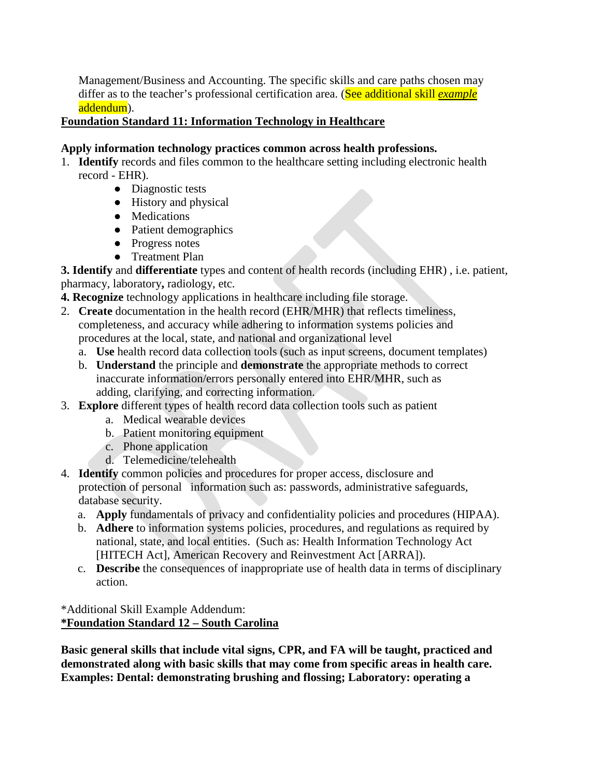Management/Business and Accounting. The specific skills and care paths chosen may differ as to the teacher's professional certification area. (See additional skill *example*  addendum).

#### **Foundation Standard 11: Information Technology in Healthcare**

### **Apply information technology practices common across health professions.**

- 1. **Identify** records and files common to the healthcare setting including electronic health record - EHR).
	- Diagnostic tests
	- History and physical
	- Medications
	- Patient demographics
	- Progress notes
	- Treatment Plan

**3. Identify** and **differentiate** types and content of health records (including EHR) , i.e. patient, pharmacy, laboratory**,** radiology, etc.

- **4. Recognize** technology applications in healthcare including file storage.
- 2. **Create** documentation in the health record (EHR/MHR) that reflects timeliness, completeness, and accuracy while adhering to information systems policies and procedures at the local, state, and national and organizational level
	- a. **Use** health record data collection tools (such as input screens, document templates)
	- b. **Understand** the principle and **demonstrate** the appropriate methods to correct inaccurate information/errors personally entered into EHR/MHR, such as adding, clarifying, and correcting information.
- 3. **Explore** different types of health record data collection tools such as patient
	- a. Medical wearable devices
	- b. Patient monitoring equipment
	- c. Phone application
	- d. Telemedicine/telehealth
- 4. **Identify** common policies and procedures for proper access, disclosure and protection of personal information such as: passwords, administrative safeguards, database security.
	- a. **Apply** fundamentals of privacy and confidentiality policies and procedures (HIPAA).
	- b. **Adhere** to information systems policies, procedures, and regulations as required by national, state, and local entities. (Such as: Health Information Technology Act [HITECH Act], American Recovery and Reinvestment Act [ARRA]).
	- c. **Describe** the consequences of inappropriate use of health data in terms of disciplinary action.

### \*Additional Skill Example Addendum: **\*Foundation Standard 12 – South Carolina**

**Basic general skills that include vital signs, CPR, and FA will be taught, practiced and demonstrated along with basic skills that may come from specific areas in health care. Examples: Dental: demonstrating brushing and flossing; Laboratory: operating a**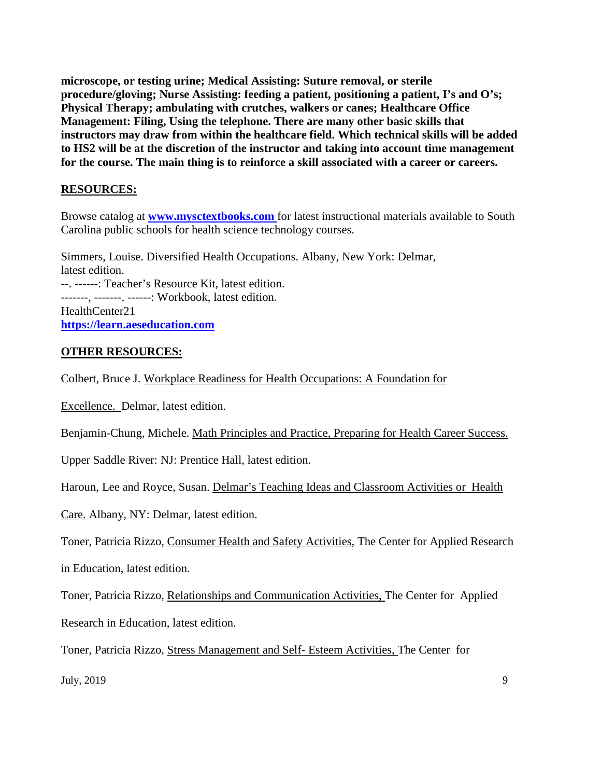**microscope, or testing urine; Medical Assisting: Suture removal, or sterile procedure/gloving; Nurse Assisting: feeding a patient, positioning a patient, I's and O's; Physical Therapy; ambulating with crutches, walkers or canes; Healthcare Office Management: Filing, Using the telephone. There are many other basic skills that instructors may draw from within the healthcare field. Which technical skills will be added to HS2 will be at the discretion of the instructor and taking into account time management for the course. The main thing is to reinforce a skill associated with a career or careers.**

### **RESOURCES:**

Browse catalog at **[www.mysctextbooks.com](http://www.mysctextbooks.com/)** for latest instructional materials available to South Carolina public schools for health science technology courses.

Simmers, Louise. Diversified Health Occupations. Albany, New York: Delmar, latest edition. --. ------: Teacher's Resource Kit, latest edition. -------, -------. ------: Workbook, latest edition. HealthCenter21 **[https://learn.aeseducation.com](https://learn.aeseducation.com/)**

#### **OTHER RESOURCES:**

Colbert, Bruce J. Workplace Readiness for Health Occupations: A Foundation for

Excellence. Delmar, latest edition.

Benjamin-Chung, Michele. Math Principles and Practice, Preparing for Health Career Success.

Upper Saddle River: NJ: Prentice Hall, latest edition.

Haroun, Lee and Royce, Susan. Delmar's Teaching Ideas and Classroom Activities or Health

Care. Albany, NY: Delmar, latest edition.

Toner, Patricia Rizzo, Consumer Health and Safety Activities, The Center for Applied Research

in Education, latest edition.

Toner, Patricia Rizzo, Relationships and Communication Activities, The Center for Applied

Research in Education, latest edition.

Toner, Patricia Rizzo, Stress Management and Self- Esteem Activities, The Center for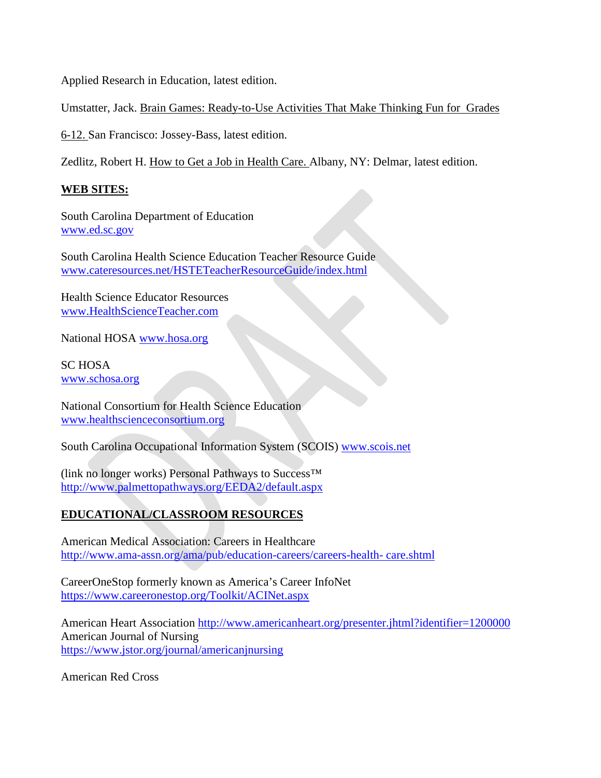Applied Research in Education, latest edition.

Umstatter, Jack. Brain Games: Ready-to-Use Activities That Make Thinking Fun for Grades

6-12. San Francisco: Jossey-Bass, latest edition.

Zedlitz, Robert H. How to Get a Job in Health Care. Albany, NY: Delmar, latest edition.

### **WEB SITES:**

South Carolina Department of Education [www.ed.sc.gov](http://www.ed.sc.gov/)

South Carolina Health Science Education Teacher Resource Guide [www.cateresources.net/HSTETeacherResourceGuide/index.html](http://www.cateresources.net/HSTETeacherResourceGuide/index.html)

Health Science Educator Resources [www.HealthScienceTeacher.com](http://www.healthscienceteacher.com/)

National HOSA [www.hosa.org](http://www.hosa.org/)

SC HOSA [www.schosa.org](http://www.schosa.org/)

National Consortium for Health Science Education [www.healthscienceconsortium.org](http://www.healthscienceconsortium.org/)

South Carolina Occupational Information System (SCOIS) [www.scois.net](http://www.scois.net/)

(link no longer works) Personal Pathways to Success™ <http://www.palmettopathways.org/EEDA2/default.aspx>

# **EDUCATIONAL/CLASSROOM RESOURCES**

American Medical Association: Careers in Healthcare [http://www.ama-assn.org/ama/pub/education-careers/careers-health-](http://www.ama-assn.org/ama/pub/education-careers/careers-health-care.shtml) [care.shtml](http://www.ama-assn.org/ama/pub/education-careers/careers-health-care.shtml)

CareerOneStop formerly known as America's Career InfoNet <https://www.careeronestop.org/Toolkit/ACINet.aspx>

American Heart Association<http://www.americanheart.org/presenter.jhtml?identifier=1200000> American Journal of Nursing <https://www.jstor.org/journal/americanjnursing>

American Red Cross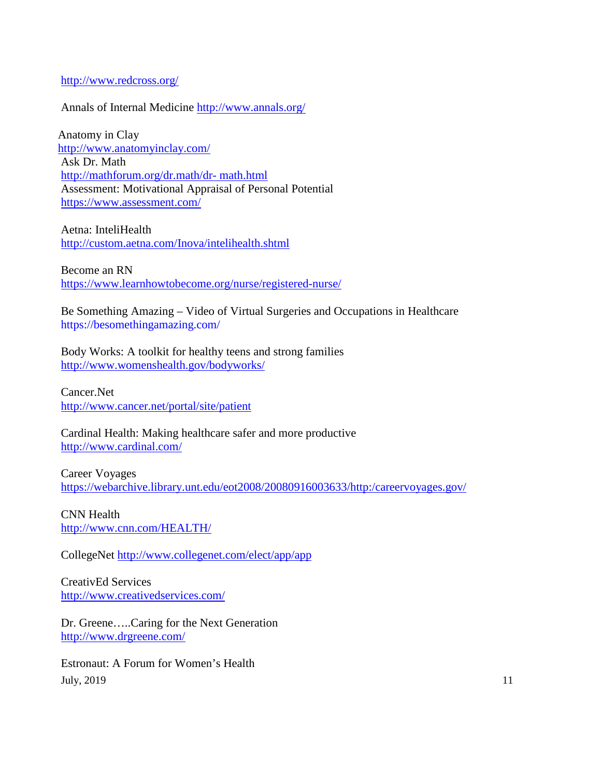#### <http://www.redcross.org/>

#### Annals of Internal Medicine<http://www.annals.org/>

Anatomy in Clay <http://www.anatomyinclay.com/> Ask Dr. Math [http://mathforum.org/dr.math/dr-](http://mathforum.org/dr.math/dr-math.html) [math.html](http://mathforum.org/dr.math/dr-math.html) Assessment: Motivational Appraisal of Personal Potential <https://www.assessment.com/>

Aetna: InteliHealth <http://custom.aetna.com/Inova/intelihealth.shtml>

Become an RN <https://www.learnhowtobecome.org/nurse/registered-nurse/>

Be Something Amazing – Video of Virtual Surgeries and Occupations in Healthcare <https://besomethingamazing.com/>

Body Works: A toolkit for healthy teens and strong families <http://www.womenshealth.gov/bodyworks/>

Cancer.Net <http://www.cancer.net/portal/site/patient>

Cardinal Health: Making healthcare safer and more productive <http://www.cardinal.com/>

Career Voyages <https://webarchive.library.unt.edu/eot2008/20080916003633/http:/careervoyages.gov/>

CNN Health <http://www.cnn.com/HEALTH/>

CollegeNet<http://www.collegenet.com/elect/app/app>

CreativEd Services <http://www.creativedservices.com/>

Dr. Greene…..Caring for the Next Generation <http://www.drgreene.com/>

July,  $2019$   $11$ Estronaut: A Forum for Women's Health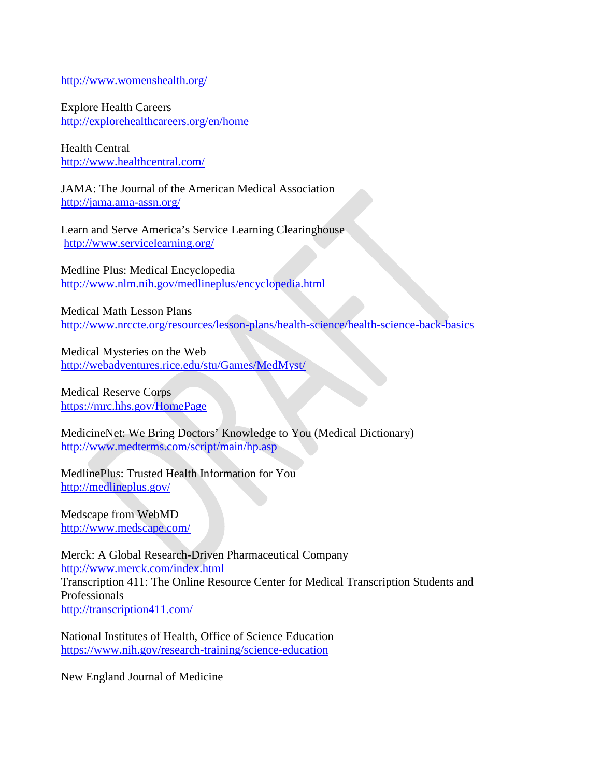<http://www.womenshealth.org/>

Explore Health Careers <http://explorehealthcareers.org/en/home>

Health Central <http://www.healthcentral.com/>

JAMA: The Journal of the American Medical Association <http://jama.ama-assn.org/>

Learn and Serve America's Service Learning Clearinghouse <http://www.servicelearning.org/>

Medline Plus: Medical Encyclopedia <http://www.nlm.nih.gov/medlineplus/encyclopedia.html>

Medical Math Lesson Plans <http://www.nrccte.org/resources/lesson-plans/health-science/health-science-back-basics>

Medical Mysteries on the Web <http://webadventures.rice.edu/stu/Games/MedMyst/>

Medical Reserve Corps <https://mrc.hhs.gov/HomePage>

MedicineNet: We Bring Doctors' Knowledge to You (Medical Dictionary) <http://www.medterms.com/script/main/hp.asp>

MedlinePlus: Trusted Health Information for You <http://medlineplus.gov/>

Medscape from WebMD <http://www.medscape.com/>

Merck: A Global Research-Driven Pharmaceutical Company <http://www.merck.com/index.html> Transcription 411: The Online Resource Center for Medical Transcription Students and Professionals <http://transcription411.com/>

National Institutes of Health, Office of Science Education <https://www.nih.gov/research-training/science-education>

New England Journal of Medicine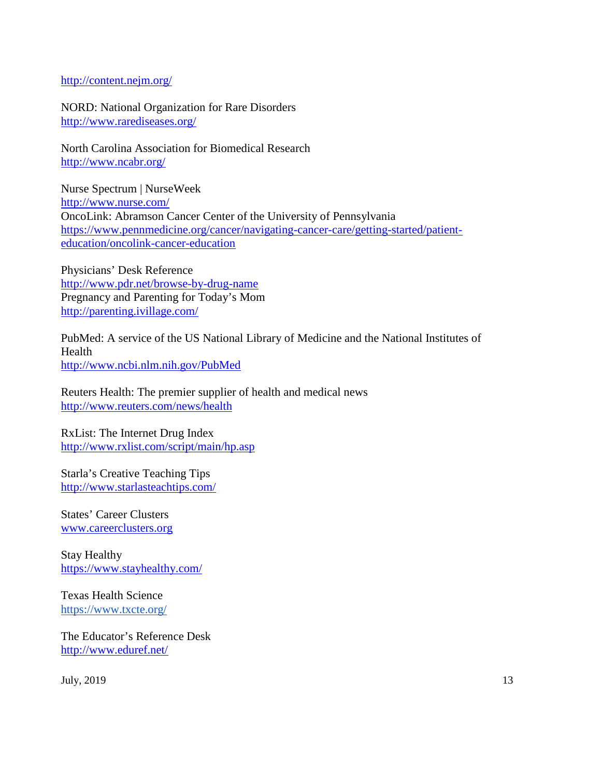#### <http://content.nejm.org/>

NORD: National Organization for Rare Disorders <http://www.rarediseases.org/>

North Carolina Association for Biomedical Research <http://www.ncabr.org/>

Nurse Spectrum | NurseWeek <http://www.nurse.com/> OncoLink: Abramson Cancer Center of the University of Pennsylvania [https://www.pennmedicine.org/cancer/navigating-cancer-care/getting-started/patient](https://www.pennmedicine.org/cancer/navigating-cancer-care/getting-started/patient-education/oncolink-cancer-education)[education/oncolink-cancer-education](https://www.pennmedicine.org/cancer/navigating-cancer-care/getting-started/patient-education/oncolink-cancer-education)

Physicians' Desk Reference <http://www.pdr.net/browse-by-drug-name> Pregnancy and Parenting for Today's Mom <http://parenting.ivillage.com/>

PubMed: A service of the US National Library of Medicine and the National Institutes of Health <http://www.ncbi.nlm.nih.gov/PubMed>

Reuters Health: The premier supplier of health and medical news <http://www.reuters.com/news/health>

RxList: The Internet Drug Index <http://www.rxlist.com/script/main/hp.asp>

Starla's Creative Teaching Tips <http://www.starlasteachtips.com/>

States' Career Clusters [www.careerclusters.org](http://www.careerclusters.org/)

Stay Healthy https://www.stayhealthy.com/

Texas Health Science <https://www.txcte.org/>

The Educator's Reference Desk <http://www.eduref.net/>